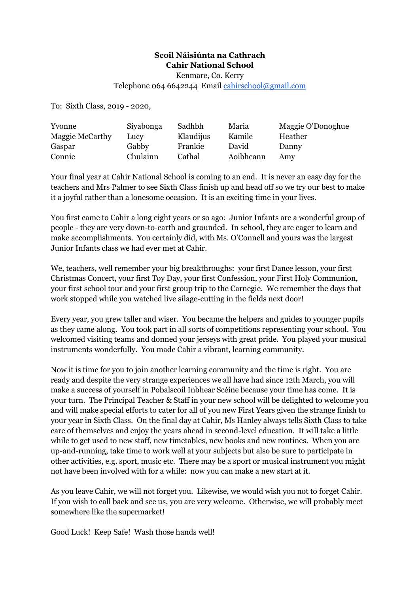## **Scoil Náisiúnta na Cathrach Cahir National School**

Kenmare, Co. Kerry

Telephone 064 6642244 Email [cahirschool@gmail.com](mailto:cahirschool@gmail.com)

To: Sixth Class, 2019 - 2020,

| Yvonne          | Siyabonga | Sadhbh    | Maria     | Maggie O'Donoghue |
|-----------------|-----------|-----------|-----------|-------------------|
| Maggie McCarthy | Lucy      | Klaudijus | Kamile    | Heather           |
| Gaspar          | Gabby     | Frankie   | David     | Danny             |
| Connie          | Chulainn  | Cathal    | Aoibheann | Amy               |

Your final year at Cahir National School is coming to an end. It is never an easy day for the teachers and Mrs Palmer to see Sixth Class finish up and head off so we try our best to make it a joyful rather than a lonesome occasion. It is an exciting time in your lives.

You first came to Cahir a long eight years or so ago: Junior Infants are a wonderful group of people - they are very down-to-earth and grounded. In school, they are eager to learn and make accomplishments. You certainly did, with Ms. O'Connell and yours was the largest Junior Infants class we had ever met at Cahir.

We, teachers, well remember your big breakthroughs: your first Dance lesson, your first Christmas Concert, your first Toy Day, your first Confession, your First Holy Communion, your first school tour and your first group trip to the Carnegie. We remember the days that work stopped while you watched live silage-cutting in the fields next door!

Every year, you grew taller and wiser. You became the helpers and guides to younger pupils as they came along. You took part in all sorts of competitions representing your school. You welcomed visiting teams and donned your jerseys with great pride. You played your musical instruments wonderfully. You made Cahir a vibrant, learning community.

Now it is time for you to join another learning community and the time is right. You are ready and despite the very strange experiences we all have had since 12th March, you will make a success of yourself in Pobalscoil Inbhear Scéine because your time has come. It is your turn. The Principal Teacher & Staff in your new school will be delighted to welcome you and will make special efforts to cater for all of you new First Years given the strange finish to your year in Sixth Class. On the final day at Cahir, Ms Hanley always tells Sixth Class to take care of themselves and enjoy the years ahead in second-level education. It will take a little while to get used to new staff, new timetables, new books and new routines. When you are up-and-running, take time to work well at your subjects but also be sure to participate in other activities, e.g. sport, music etc. There may be a sport or musical instrument you might not have been involved with for a while: now you can make a new start at it.

As you leave Cahir, we will not forget you. Likewise, we would wish you not to forget Cahir. If you wish to call back and see us, you are very welcome. Otherwise, we will probably meet somewhere like the supermarket!

Good Luck! Keep Safe! Wash those hands well!